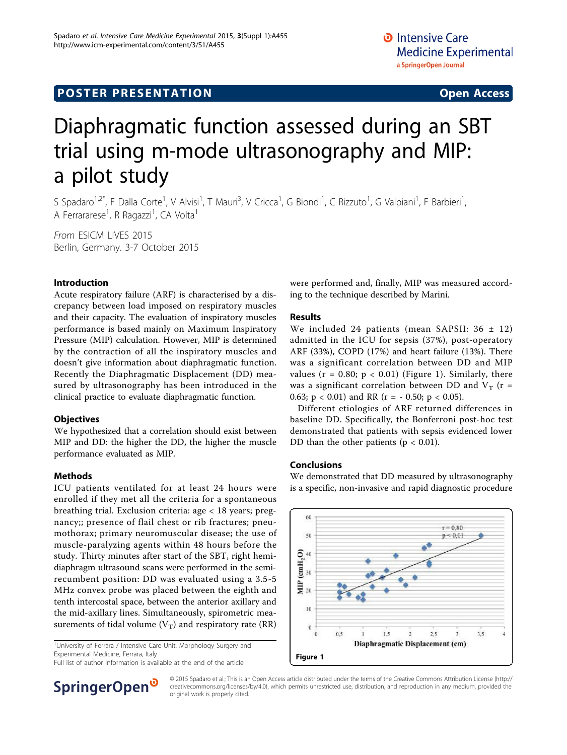## **POSTER PRESENTATION CONSUMING ACCESS**

# Diaphragmatic function assessed during an SBT trial using m-mode ultrasonography and MIP: a pilot study

S Spadaro<sup>1,2\*</sup>, F Dalla Corte<sup>1</sup>, V Alvisi<sup>1</sup>, T Mauri<sup>3</sup>, V Cricca<sup>1</sup>, G Biondi<sup>1</sup>, C Rizzuto<sup>1</sup>, G Valpiani<sup>1</sup>, F Barbieri<sup>1</sup> , A Ferrararese<sup>1</sup>, R Ragazzi<sup>1</sup>, CA Volta<sup>1</sup>

From ESICM LIVES 2015 Berlin, Germany. 3-7 October 2015

#### Introduction

Acute respiratory failure (ARF) is characterised by a discrepancy between load imposed on respiratory muscles and their capacity. The evaluation of inspiratory muscles performance is based mainly on Maximum Inspiratory Pressure (MIP) calculation. However, MIP is determined by the contraction of all the inspiratory muscles and doesn't give information about diaphragmatic function. Recently the Diaphragmatic Displacement (DD) measured by ultrasonography has been introduced in the clinical practice to evaluate diaphragmatic function.

#### **Objectives**

We hypothesized that a correlation should exist between MIP and DD: the higher the DD, the higher the muscle performance evaluated as MIP.

#### Methods

ICU patients ventilated for at least 24 hours were enrolled if they met all the criteria for a spontaneous breathing trial. Exclusion criteria: age < 18 years; pregnancy;; presence of flail chest or rib fractures; pneumothorax; primary neuromuscular disease; the use of muscle-paralyzing agents within 48 hours before the study. Thirty minutes after start of the SBT, right hemidiaphragm ultrasound scans were performed in the semirecumbent position: DD was evaluated using a 3.5-5 MHz convex probe was placed between the eighth and tenth intercostal space, between the anterior axillary and the mid-axillary lines. Simultaneously, spirometric measurements of tidal volume  $(V_T)$  and respiratory rate (RR)

<sup>1</sup>University of Ferrara / Intensive Care Unit, Morphology Surgery and Experimental Medicine, Ferrara, Italy Experimental Medicine, Ferrara, italy<br>
Full list of author information is available at the end of the article  $\begin{array}{c} \text{Figure 1} \\ \end{array}$ 



#### Results

We included 24 patients (mean SAPSII:  $36 \pm 12$ ) admitted in the ICU for sepsis (37%), post-operatory ARF (33%), COPD (17%) and heart failure (13%). There was a significant correlation between DD and MIP values ( $r = 0.80$ ;  $p < 0.01$ ) (Figure 1). Similarly, there was a significant correlation between DD and  $V_T$  (r = 0.63;  $p < 0.01$ ) and RR ( $r = -0.50$ ;  $p < 0.05$ ).

Different etiologies of ARF returned differences in baseline DD. Specifically, the Bonferroni post-hoc test demonstrated that patients with sepsis evidenced lower DD than the other patients ( $p < 0.01$ ).

#### Conclusions

We demonstrated that DD measured by ultrasonography is a specific, non-invasive and rapid diagnostic procedure





© 2015 Spadaro et al.; This is an Open Access article distributed under the terms of the Creative Commons Attribution License [\(http://](http://creativecommons.org/licenses/by/4.0) [creativecommons.org/licenses/by/4.0](http://creativecommons.org/licenses/by/4.0)), which permits unrestricted use, distribution, and reproduction in any medium, provided the original work is properly cited.